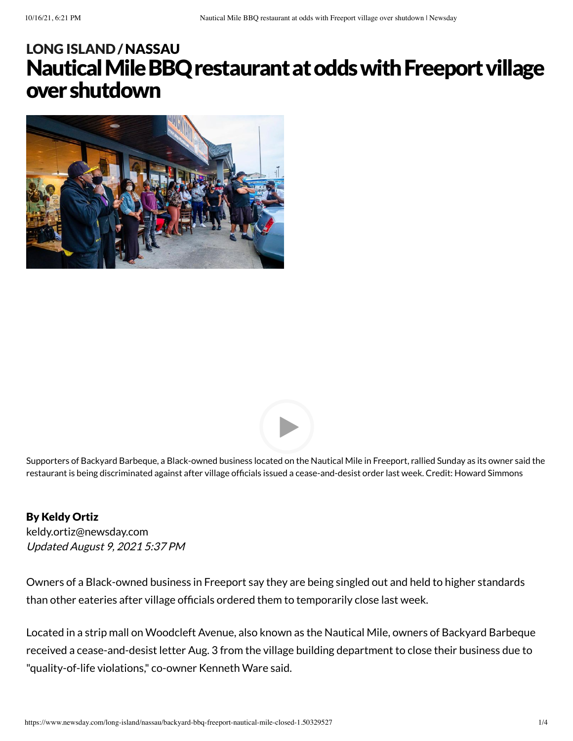# Nautical Mile BBQ restaurant at odds with Freeport village overshutdown LONG [ISLAND](https://www.newsday.com/long-island) /[NASSAU](https://www.newsday.com/long-island/nassau)





Supporters of Backyard Barbeque, a Black-owned business located on the Nautical Mile in Freeport, rallied Sunday as its owner said the restaurant is being discriminated against after village officials issued a cease-and-desist order last week. Credit: Howard Simmons

#### By Keldy Ortiz

Updated August 9, 2021 5:37 PM [keldy.ortiz@newsday.com](mailto:keldy.ortiz@newsday.com?subject=Nautical%20Mile%20BBQ%20restaurant%20at%20odds%20with%20Freeport%20village%20over%20shutdown&body=Owners%20of%20a%20Black-owned%20business%20in%20Freeport%20say%20they%20are%20being%20singled%20out%20and%20held%20to%20higher%20standards%20than%20other%20eateries%20after%20village%20officials%20ordered%20them%20to%20temporarily%20close%20last%20week.%20Locate%0D%0Ahttps://www.newsday.com/long-island/nassau/backyard-bbq-freeport-nautical-mile-closed-1.50329527)

Owners of a Black-owned business in Freeport say they are being singled out and held to higher standards than other eateries after village officials ordered them to temporarily close last week.

Located in a strip mall on Woodcleft Avenue, also known as the Nautical Mile, owners of Backyard Barbeque received a cease-and-desist letter Aug. 3 from the village building department to close their business due to "quality-of-life violations," co-owner Kenneth Ware said.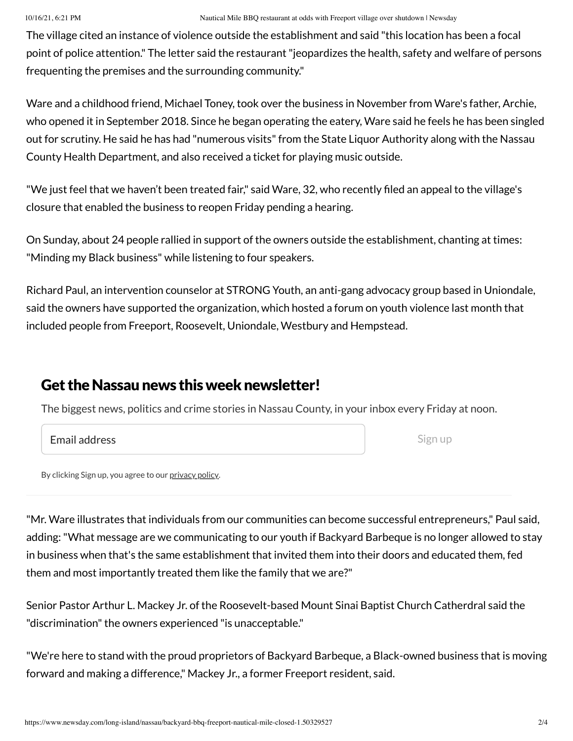The village cited an instance of violence outside the establishment and said "this location has been a focal point of police attention." The letter said the restaurant"jeopardizes the health, safety and welfare of persons frequenting the premises and the surrounding community."

Ware and a childhood friend, Michael Toney, took over the business in November from Ware's father, Archie, who opened it in September 2018. Since he began operating the eatery, Ware said he feels he has been singled out for scrutiny. He said he has had "numerous visits" from the State Liquor Authority along with the Nassau County Health Department, and also received a ticket for playing music outside.

"We just feel that we haven't been treated fair," said Ware, 32, who recently filed an appeal to the village's closure that enabled the business to reopen Friday pending a hearing.

On Sunday, about 24 people rallied in support of the owners outside the establishment, chanting at times: "Minding my Black business" while listening to four speakers.

Richard Paul, an intervention counselor at STRONG Youth, an anti-gang advocacy group based in Uniondale, said the owners have supported the organization, which hosted a forum on youth violence last month that included people from Freeport, Roosevelt, Uniondale, Westbury and Hempstead.

### Get the Nassau news this week newsletter!

The biggest news, politics and crime stories in Nassau County, in your inbox every Friday at noon.

#### Email address

Sign up

By clicking Sign up, you agree to our [privacy](https://www.newsday.com/privacy) policy.

"Mr. Ware illustrates that individuals from our communities can become successful entrepreneurs," Paul said, adding:"What message are we communicating to our youth if Backyard Barbeque is no longer allowed to stay in business when that's the same establishment that invited them into their doors and educated them, fed them and most importantly treated them like the family that we are?"

Senior Pastor Arthur L. Mackey Jr. of the Roosevelt-based Mount Sinai Baptist Church Catherdral said the "discrimination" the owners experienced "is unacceptable."

"We're here to stand with the proud proprietors of Backyard Barbeque, a Black-owned business that is moving forward and making a difference," Mackey Jr., a former Freeport resident, said.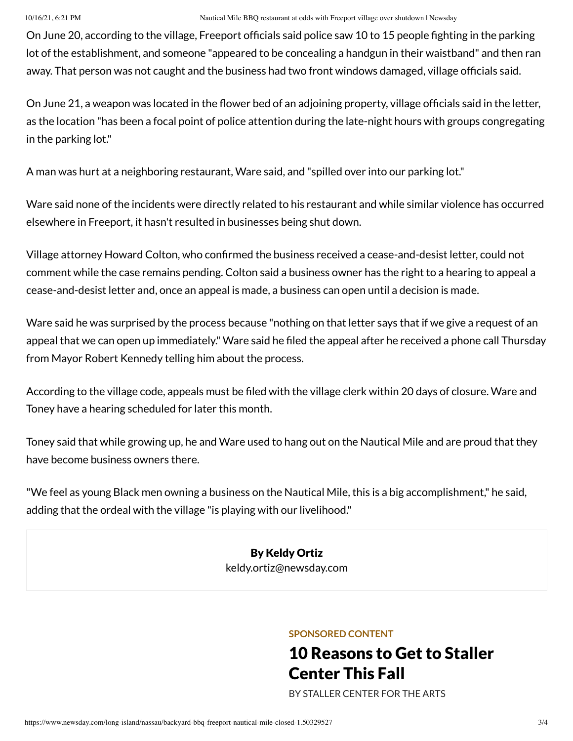On June 20, according to the village, Freeport officials said police saw 10 to 15 people fighting in the parking lot of the establishment, and someone "appeared to be concealing a handgun in their waistband" and then ran away. That person was not caught and the business had two front windows damaged, village officials said.

On June 21, a weapon was located in the flower bed of an adjoining property, village officials said in the letter, as the location "has been a focal point of police attention during the late-night hours with groups congregating in the parking lot."

A man was hurt at a neighboring restaurant, Ware said, and "spilled over into our parking lot."

Ware said none of the incidents were directly related to his restaurant and while similar violence has occurred elsewhere in Freeport, it hasn't resulted in businesses being shut down.

Village attorney Howard Colton, who confirmed the business received a cease-and-desist letter, could not comment while the case remains pending. Colton said a business owner has the right to a hearing to appeal a cease-and-desist letter and, once an appeal is made, a business can open until a decision is made.

Ware said he was surprised by the process because "nothing on that letter says that if we give a request of an appeal that we can open up immediately." Ware said he filed the appeal after he received a phone call Thursday from Mayor Robert Kennedy telling him about the process.

According to the village code, appeals must be filed with the village clerk within 20 days of closure. Ware and Toney have a hearing scheduled for later this month.

Toney said that while growing up, he and Ware used to hang out on the Nautical Mile and are proud that they have become business owners there.

"We feel as young Black men owning a business on the Nautical Mile, this is a big accomplishment," he said, adding that the ordeal with the village "is playing with our livelihood."

> By Keldy Ortiz [keldy.ortiz@newsday.com](mailto:keldy.ortiz@newsday.com?subject=Nautical%20Mile%20BBQ%20restaurant%20at%20odds%20with%20Freeport%20village%20over%20shutdown&body=Owners%20of%20a%20Black-owned%20business%20in%20Freeport%20say%20they%20are%20being%20singled%20out%20and%20held%20to%20higher%20standards%20than%20other%20eateries%20after%20village%20officials%20ordered%20them%20to%20temporarily%20close%20last%20week.%20Locate%0D%0Ahttps://www.newsday.com/long-island/nassau/backyard-bbq-freeport-nautical-mile-closed-1.50329527)

#### **SPONSORED CONTENT**

# 10 [Reasons](https://www.newsday.com/services/sponsored-content/promoted-1.8594397?prx_t=v_0GAWJRPAhrALA&ntv_acpl=766086&ntv_acsc=2&ntv_fr) to Get to Staller Center This Fall

BY [STALLER](https://www.newsday.com/services/sponsored-content/promoted-1.8594397?prx_t=v_0GAWJRPAhrALA&ntv_acpl=766086&ntv_acsc=2&ntv_fr) CENTER FOR THE ARTS